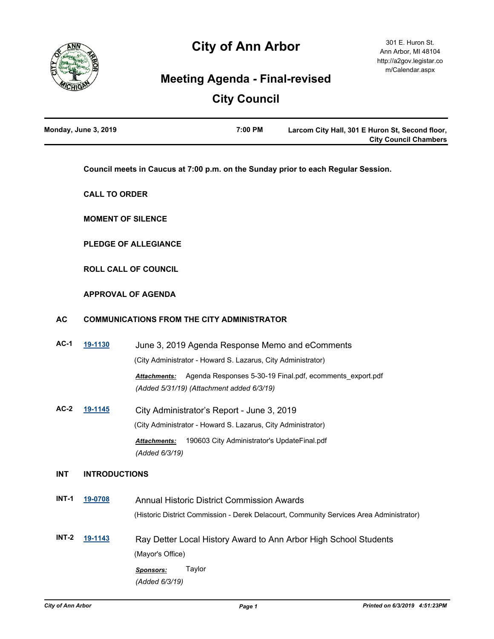

# **City of Ann Arbor**

## **Meeting Agenda - Final-revised**

# **City Council**

| Monday, June 3, 2019 | 7:00 PM | Larcom City Hall, 301 E Huron St, Second floor, |
|----------------------|---------|-------------------------------------------------|
|                      |         | <b>City Council Chambers</b>                    |

**Council meets in Caucus at 7:00 p.m. on the Sunday prior to each Regular Session.**

**CALL TO ORDER**

**MOMENT OF SILENCE**

**PLEDGE OF ALLEGIANCE**

**ROLL CALL OF COUNCIL**

### **APPROVAL OF AGENDA**

### **AC COMMUNICATIONS FROM THE CITY ADMINISTRATOR**

- **AC-1 [19-1130](http://a2gov.legistar.com/gateway.aspx?M=L&ID=22778)** June 3, 2019 Agenda Response Memo and eComments (City Administrator - Howard S. Lazarus, City Administrator) *Attachments:* Agenda Responses 5-30-19 Final.pdf, ecomments\_export.pdf *(Added 5/31/19) (Attachment added 6/3/19)*
- **AC-2 [19-1145](http://a2gov.legistar.com/gateway.aspx?M=L&ID=22793)** City Administrator's Report June 3, 2019 (City Administrator - Howard S. Lazarus, City Administrator) *Attachments:* 190603 City Administrator's UpdateFinal.pdf *(Added 6/3/19)*

### **INT INTRODUCTIONS**

**INT-1 [19-0708](http://a2gov.legistar.com/gateway.aspx?M=L&ID=22399)** Annual Historic District Commission Awards (Historic District Commission - Derek Delacourt, Community Services Area Administrator) **INT-2 [19-1143](http://a2gov.legistar.com/gateway.aspx?M=L&ID=22791)** Ray Detter Local History Award to Ann Arbor High School Students (Mayor's Office) *Sponsors:* Taylor *(Added 6/3/19)*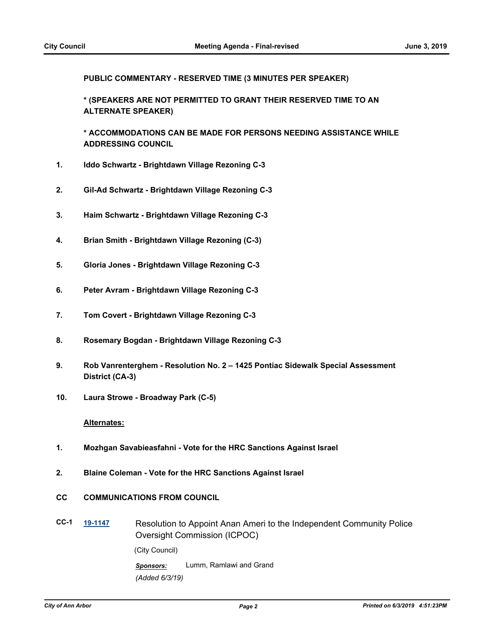**PUBLIC COMMENTARY - RESERVED TIME (3 MINUTES PER SPEAKER)**

**\* (SPEAKERS ARE NOT PERMITTED TO GRANT THEIR RESERVED TIME TO AN ALTERNATE SPEAKER)**

**\* ACCOMMODATIONS CAN BE MADE FOR PERSONS NEEDING ASSISTANCE WHILE ADDRESSING COUNCIL**

- **1. Iddo Schwartz Brightdawn Village Rezoning C-3**
- **2. Gil-Ad Schwartz Brightdawn Village Rezoning C-3**
- **3. Haim Schwartz Brightdawn Village Rezoning C-3**
- **4. Brian Smith Brightdawn Village Rezoning (C-3)**
- **5. Gloria Jones Brightdawn Village Rezoning C-3**
- **6. Peter Avram Brightdawn Village Rezoning C-3**
- **7. Tom Covert Brightdawn Village Rezoning C-3**
- **8. Rosemary Bogdan Brightdawn Village Rezoning C-3**
- **9. Rob Vanrenterghem Resolution No. 2 1425 Pontiac Sidewalk Special Assessment District (CA-3)**
- **10. Laura Strowe Broadway Park (C-5)**

### **Alternates:**

- **1. Mozhgan Savabieasfahni Vote for the HRC Sanctions Against Israel**
- **2. Blaine Coleman Vote for the HRC Sanctions Against Israel**
- **CC COMMUNICATIONS FROM COUNCIL**
- **CC-1 [19-1147](http://a2gov.legistar.com/gateway.aspx?M=L&ID=22795)** Resolution to Appoint Anan Ameri to the Independent Community Police Oversight Commission (ICPOC) (City Council)

*Sponsors:* Lumm, Ramlawi and Grand *(Added 6/3/19)*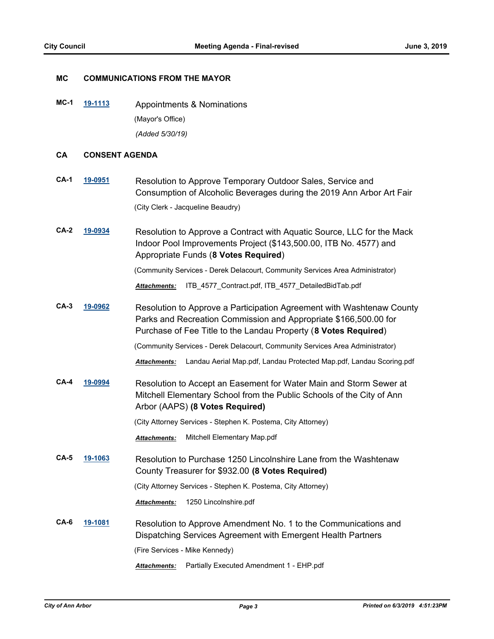### **MC COMMUNICATIONS FROM THE MAYOR**

**MC-1 [19-1113](http://a2gov.legistar.com/gateway.aspx?M=L&ID=22761)** Appointments & Nominations (Mayor's Office) *(Added 5/30/19)*

### **CA CONSENT AGENDA**

- **CA-1 [19-0951](http://a2gov.legistar.com/gateway.aspx?M=L&ID=22619)** Resolution to Approve Temporary Outdoor Sales, Service and Consumption of Alcoholic Beverages during the 2019 Ann Arbor Art Fair (City Clerk - Jacqueline Beaudry)
- **CA-2 [19-0934](http://a2gov.legistar.com/gateway.aspx?M=L&ID=22602)** Resolution to Approve a Contract with Aquatic Source, LLC for the Mack Indoor Pool Improvements Project (\$143,500.00, ITB No. 4577) and Appropriate Funds (**8 Votes Required**)

(Community Services - Derek Delacourt, Community Services Area Administrator)

*Attachments:* ITB\_4577\_Contract.pdf, ITB\_4577\_DetailedBidTab.pdf

**CA-3 [19-0962](http://a2gov.legistar.com/gateway.aspx?M=L&ID=22630)** Resolution to Approve a Participation Agreement with Washtenaw County Parks and Recreation Commission and Appropriate \$166,500.00 for Purchase of Fee Title to the Landau Property (**8 Votes Required**)

(Community Services - Derek Delacourt, Community Services Area Administrator)

*Attachments:* Landau Aerial Map.pdf, Landau Protected Map.pdf, Landau Scoring.pdf

**CA-4 [19-0994](http://a2gov.legistar.com/gateway.aspx?M=L&ID=22649)** Resolution to Accept an Easement for Water Main and Storm Sewer at Mitchell Elementary School from the Public Schools of the City of Ann Arbor (AAPS) **(8 Votes Required)**

(City Attorney Services - Stephen K. Postema, City Attorney)

*Attachments:* Mitchell Elementary Map.pdf

**CA-5 [19-1063](http://a2gov.legistar.com/gateway.aspx?M=L&ID=22711)** Resolution to Purchase 1250 Lincolnshire Lane from the Washtenaw County Treasurer for \$932.00 **(8 Votes Required)**

(City Attorney Services - Stephen K. Postema, City Attorney)

*Attachments:* 1250 Lincolnshire.pdf

**CA-6 [19-1081](http://a2gov.legistar.com/gateway.aspx?M=L&ID=22729)** Resolution to Approve Amendment No. 1 to the Communications and Dispatching Services Agreement with Emergent Health Partners (Fire Services - Mike Kennedy)

*Attachments:* Partially Executed Amendment 1 - EHP.pdf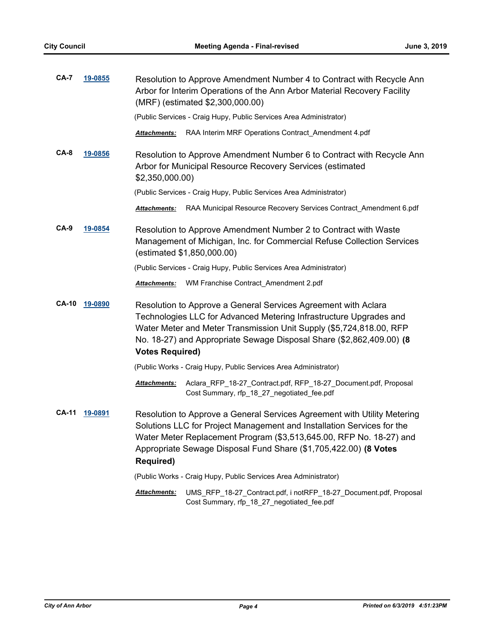| <b>CA-7</b>  | 19-0855        |                        | Resolution to Approve Amendment Number 4 to Contract with Recycle Ann<br>Arbor for Interim Operations of the Ann Arbor Material Recovery Facility<br>(MRF) (estimated \$2,300,000.00)                                                                                                         |
|--------------|----------------|------------------------|-----------------------------------------------------------------------------------------------------------------------------------------------------------------------------------------------------------------------------------------------------------------------------------------------|
|              |                |                        | (Public Services - Craig Hupy, Public Services Area Administrator)                                                                                                                                                                                                                            |
|              |                | <b>Attachments:</b>    | RAA Interim MRF Operations Contract_Amendment 4.pdf                                                                                                                                                                                                                                           |
| $CA-8$       | <u>19-0856</u> | \$2,350,000.00)        | Resolution to Approve Amendment Number 6 to Contract with Recycle Ann<br>Arbor for Municipal Resource Recovery Services (estimated                                                                                                                                                            |
|              |                |                        | (Public Services - Craig Hupy, Public Services Area Administrator)                                                                                                                                                                                                                            |
|              |                | Attachments:           | RAA Municipal Resource Recovery Services Contract_Amendment 6.pdf                                                                                                                                                                                                                             |
| $CA-9$       | <u>19-0854</u> |                        | Resolution to Approve Amendment Number 2 to Contract with Waste<br>Management of Michigan, Inc. for Commercial Refuse Collection Services<br>(estimated \$1,850,000.00)                                                                                                                       |
|              |                |                        | (Public Services - Craig Hupy, Public Services Area Administrator)                                                                                                                                                                                                                            |
|              |                | Attachments:           | WM Franchise Contract_Amendment 2.pdf                                                                                                                                                                                                                                                         |
| <b>CA-10</b> | 19-0890        | <b>Votes Required)</b> | Resolution to Approve a General Services Agreement with Aclara<br>Technologies LLC for Advanced Metering Infrastructure Upgrades and<br>Water Meter and Meter Transmission Unit Supply (\$5,724,818.00, RFP<br>No. 18-27) and Appropriate Sewage Disposal Share (\$2,862,409.00) (8           |
|              |                |                        | (Public Works - Craig Hupy, Public Services Area Administrator)                                                                                                                                                                                                                               |
|              |                | Attachments:           | Aclara_RFP_18-27_Contract.pdf, RFP_18-27_Document.pdf, Proposal<br>Cost Summary, rfp_18_27_negotiated_fee.pdf                                                                                                                                                                                 |
| CA-11        | 19-0891        | <b>Required)</b>       | Resolution to Approve a General Services Agreement with Utility Metering<br>Solutions LLC for Project Management and Installation Services for the<br>Water Meter Replacement Program (\$3,513,645.00, RFP No. 18-27) and<br>Appropriate Sewage Disposal Fund Share (\$1,705,422.00) (8 Votes |
|              |                |                        | (Public Works - Craig Hupy, Public Services Area Administrator)                                                                                                                                                                                                                               |
|              |                | Attachments:           | UMS_RFP_18-27_Contract.pdf, i notRFP_18-27_Document.pdf, Proposal<br>Cost Summary, rfp_18_27_negotiated_fee.pdf                                                                                                                                                                               |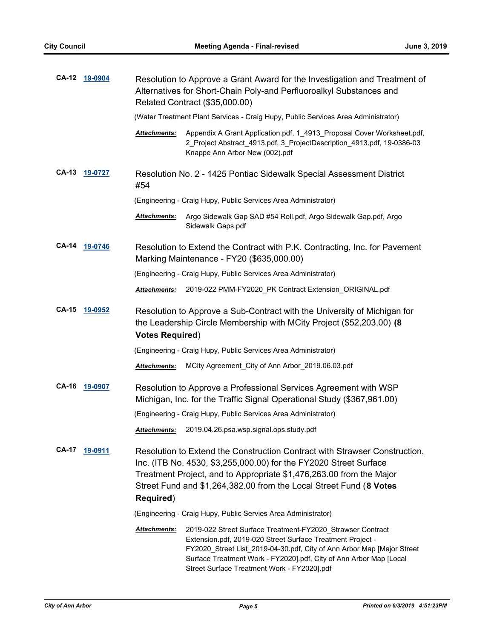|              | CA-12 19-0904 | Resolution to Approve a Grant Award for the Investigation and Treatment of<br>Alternatives for Short-Chain Poly-and Perfluoroalkyl Substances and<br>Related Contract (\$35,000.00)                                                                                                                                                            |
|--------------|---------------|------------------------------------------------------------------------------------------------------------------------------------------------------------------------------------------------------------------------------------------------------------------------------------------------------------------------------------------------|
|              |               | (Water Treatment Plant Services - Craig Hupy, Public Services Area Administrator)                                                                                                                                                                                                                                                              |
|              |               | Attachments:<br>Appendix A Grant Application.pdf, 1_4913_Proposal Cover Worksheet.pdf,<br>2_Project Abstract_4913.pdf, 3_ProjectDescription_4913.pdf, 19-0386-03<br>Knappe Ann Arbor New (002).pdf                                                                                                                                             |
| <b>CA-13</b> | 19-0727       | Resolution No. 2 - 1425 Pontiac Sidewalk Special Assessment District<br>#54                                                                                                                                                                                                                                                                    |
|              |               | (Engineering - Craig Hupy, Public Services Area Administrator)                                                                                                                                                                                                                                                                                 |
|              |               | <b>Attachments:</b><br>Argo Sidewalk Gap SAD #54 Roll.pdf, Argo Sidewalk Gap.pdf, Argo<br>Sidewalk Gaps.pdf                                                                                                                                                                                                                                    |
| <b>CA-14</b> | 19-0746       | Resolution to Extend the Contract with P.K. Contracting, Inc. for Pavement<br>Marking Maintenance - FY20 (\$635,000.00)                                                                                                                                                                                                                        |
|              |               | (Engineering - Craig Hupy, Public Services Area Administrator)                                                                                                                                                                                                                                                                                 |
|              |               | 2019-022 PMM-FY2020_PK Contract Extension_ORIGINAL.pdf<br>Attachments:                                                                                                                                                                                                                                                                         |
| <b>CA-15</b> | 19-0952       | Resolution to Approve a Sub-Contract with the University of Michigan for<br>the Leadership Circle Membership with MCity Project (\$52,203.00) (8<br><b>Votes Required)</b>                                                                                                                                                                     |
|              |               | (Engineering - Craig Hupy, Public Services Area Administrator)                                                                                                                                                                                                                                                                                 |
|              |               | MCity Agreement_City of Ann Arbor_2019.06.03.pdf<br><b>Attachments:</b>                                                                                                                                                                                                                                                                        |
| CA-16        | 19-0907       | Resolution to Approve a Professional Services Agreement with WSP<br>Michigan, Inc. for the Traffic Signal Operational Study (\$367,961.00)                                                                                                                                                                                                     |
|              |               | (Engineering - Craig Hupy, Public Services Area Administrator)                                                                                                                                                                                                                                                                                 |
|              |               | 2019.04.26.psa.wsp.signal.ops.study.pdf<br><b>Attachments:</b>                                                                                                                                                                                                                                                                                 |
| <b>CA-17</b> | 19-0911       | Resolution to Extend the Construction Contract with Strawser Construction,<br>Inc. (ITB No. 4530, \$3,255,000.00) for the FY2020 Street Surface<br>Treatment Project, and to Appropriate \$1,476,263.00 from the Major<br>Street Fund and \$1,264,382.00 from the Local Street Fund (8 Votes<br><b>Required)</b>                               |
|              |               | (Engineering - Craig Hupy, Public Servies Area Administrator)                                                                                                                                                                                                                                                                                  |
|              |               | <b>Attachments:</b><br>2019-022 Street Surface Treatment-FY2020_Strawser Contract<br>Extension.pdf, 2019-020 Street Surface Treatment Project -<br>FY2020_Street List_2019-04-30.pdf, City of Ann Arbor Map [Major Street<br>Surface Treatment Work - FY2020].pdf, City of Ann Arbor Map [Local<br>Street Surface Treatment Work - FY2020].pdf |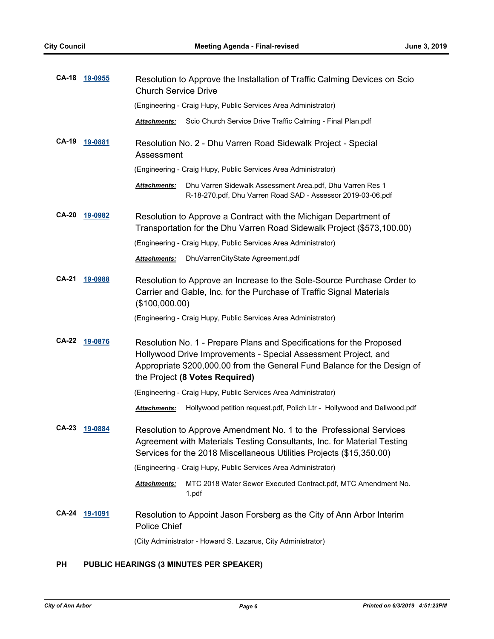| <b>CA-18</b> | <u>19-0955</u> | Resolution to Approve the Installation of Traffic Calming Devices on Scio<br><b>Church Service Drive</b>                                                                                                                                             |
|--------------|----------------|------------------------------------------------------------------------------------------------------------------------------------------------------------------------------------------------------------------------------------------------------|
|              |                | (Engineering - Craig Hupy, Public Services Area Administrator)                                                                                                                                                                                       |
|              |                | Scio Church Service Drive Traffic Calming - Final Plan.pdf<br><b>Attachments:</b>                                                                                                                                                                    |
| <b>CA-19</b> | 19-0881        | Resolution No. 2 - Dhu Varren Road Sidewalk Project - Special<br>Assessment                                                                                                                                                                          |
|              |                | (Engineering - Craig Hupy, Public Services Area Administrator)                                                                                                                                                                                       |
|              |                | Dhu Varren Sidewalk Assessment Area.pdf, Dhu Varren Res 1<br><b>Attachments:</b><br>R-18-270.pdf, Dhu Varren Road SAD - Assessor 2019-03-06.pdf                                                                                                      |
| <b>CA-20</b> | 19-0982        | Resolution to Approve a Contract with the Michigan Department of<br>Transportation for the Dhu Varren Road Sidewalk Project (\$573,100.00)                                                                                                           |
|              |                | (Engineering - Craig Hupy, Public Services Area Administrator)                                                                                                                                                                                       |
|              |                | DhuVarrenCityState Agreement.pdf<br><b>Attachments:</b>                                                                                                                                                                                              |
| <b>CA-21</b> | 19-0988        | Resolution to Approve an Increase to the Sole-Source Purchase Order to<br>Carrier and Gable, Inc. for the Purchase of Traffic Signal Materials<br>(\$100,000.00)                                                                                     |
|              |                | (Engineering - Craig Hupy, Public Services Area Administrator)                                                                                                                                                                                       |
| <b>CA-22</b> | 19-0876        | Resolution No. 1 - Prepare Plans and Specifications for the Proposed<br>Hollywood Drive Improvements - Special Assessment Project, and<br>Appropriate \$200,000.00 from the General Fund Balance for the Design of<br>the Project (8 Votes Required) |
|              |                | (Engineering - Craig Hupy, Public Services Area Administrator)                                                                                                                                                                                       |
|              |                | Hollywood petition request.pdf, Polich Ltr - Hollywood and Dellwood.pdf<br><b>Attachments:</b>                                                                                                                                                       |
| <b>CA-23</b> | 19-0884        | Resolution to Approve Amendment No. 1 to the Professional Services<br>Agreement with Materials Testing Consultants, Inc. for Material Testing<br>Services for the 2018 Miscellaneous Utilities Projects (\$15,350.00)                                |
|              |                | (Engineering - Craig Hupy, Public Services Area Administrator)                                                                                                                                                                                       |
|              |                | MTC 2018 Water Sewer Executed Contract.pdf, MTC Amendment No.<br>Attachments:<br>1.pdf                                                                                                                                                               |
| <b>CA-24</b> | 19-1091        | Resolution to Appoint Jason Forsberg as the City of Ann Arbor Interim<br><b>Police Chief</b>                                                                                                                                                         |
|              |                | (City Administrator - Howard S. Lazarus, City Administrator)                                                                                                                                                                                         |

### **PH PUBLIC HEARINGS (3 MINUTES PER SPEAKER)**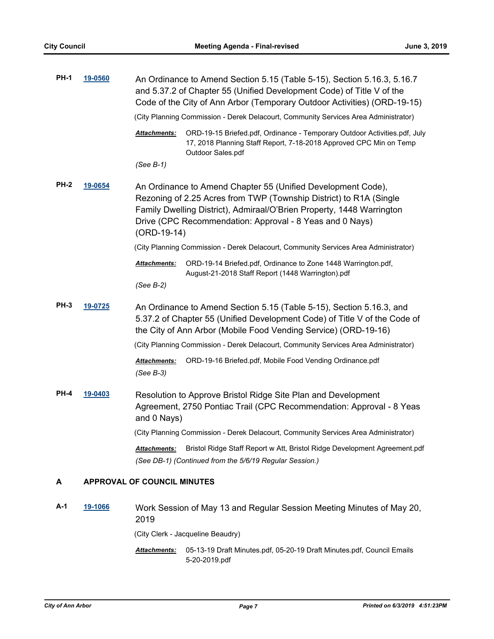| <b>PH-1</b> | 19-0560        | An Ordinance to Amend Section 5.15 (Table 5-15), Section 5.16.3, 5.16.7<br>and 5.37.2 of Chapter 55 (Unified Development Code) of Title V of the<br>Code of the City of Ann Arbor (Temporary Outdoor Activities) (ORD-19-15)                                                             |
|-------------|----------------|------------------------------------------------------------------------------------------------------------------------------------------------------------------------------------------------------------------------------------------------------------------------------------------|
|             |                | (City Planning Commission - Derek Delacourt, Community Services Area Administrator)                                                                                                                                                                                                      |
|             |                | ORD-19-15 Briefed.pdf, Ordinance - Temporary Outdoor Activities.pdf, July<br>Attachments:<br>17, 2018 Planning Staff Report, 7-18-2018 Approved CPC Min on Temp<br>Outdoor Sales.pdf                                                                                                     |
|             |                | $(See B-1)$                                                                                                                                                                                                                                                                              |
| <b>PH-2</b> | 19-0654        | An Ordinance to Amend Chapter 55 (Unified Development Code),<br>Rezoning of 2.25 Acres from TWP (Township District) to R1A (Single<br>Family Dwelling District), Admiraal/O'Brien Property, 1448 Warrington<br>Drive (CPC Recommendation: Approval - 8 Yeas and 0 Nays)<br>$(ORD-19-14)$ |
|             |                | (City Planning Commission - Derek Delacourt, Community Services Area Administrator)                                                                                                                                                                                                      |
|             |                | Attachments:<br>ORD-19-14 Briefed.pdf, Ordinance to Zone 1448 Warrington.pdf,<br>August-21-2018 Staff Report (1448 Warrington).pdf                                                                                                                                                       |
|             |                | $(See B-2)$                                                                                                                                                                                                                                                                              |
| <b>PH-3</b> | 19-0725        | An Ordinance to Amend Section 5.15 (Table 5-15), Section 5.16.3, and<br>5.37.2 of Chapter 55 (Unified Development Code) of Title V of the Code of<br>the City of Ann Arbor (Mobile Food Vending Service) (ORD-19-16)                                                                     |
|             |                | (City Planning Commission - Derek Delacourt, Community Services Area Administrator)                                                                                                                                                                                                      |
|             |                | ORD-19-16 Briefed.pdf, Mobile Food Vending Ordinance.pdf<br>Attachments:<br>(See B-3)                                                                                                                                                                                                    |
| <b>PH-4</b> | <u>19-0403</u> | Resolution to Approve Bristol Ridge Site Plan and Development<br>Agreement, 2750 Pontiac Trail (CPC Recommendation: Approval - 8 Yeas<br>and 0 Nays)                                                                                                                                     |
|             |                | (City Planning Commission - Derek Delacourt, Community Services Area Administrator)                                                                                                                                                                                                      |
|             |                | Bristol Ridge Staff Report w Att, Bristol Ridge Development Agreement.pdf<br><b>Attachments:</b><br>(See DB-1) (Continued from the 5/6/19 Regular Session.)                                                                                                                              |
| Α           |                | <b>APPROVAL OF COUNCIL MINUTES</b>                                                                                                                                                                                                                                                       |
| A-1         | <u>19-1066</u> | Work Session of May 13 and Regular Session Meeting Minutes of May 20,<br>2019                                                                                                                                                                                                            |

(City Clerk - Jacqueline Beaudry)

05-13-19 Draft Minutes.pdf, 05-20-19 Draft Minutes.pdf, Council Emails *Attachments:* 5-20-2019.pdf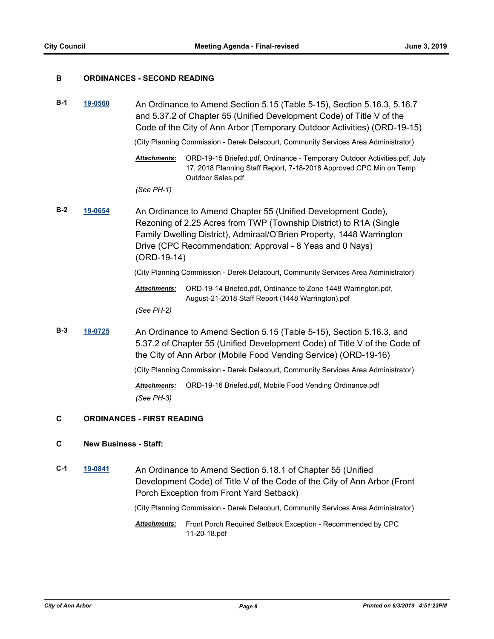### **B ORDINANCES - SECOND READING**

**B-1 [19-0560](http://a2gov.legistar.com/gateway.aspx?M=L&ID=22253)** An Ordinance to Amend Section 5.15 (Table 5-15), Section 5.16.3, 5.16.7 and 5.37.2 of Chapter 55 (Unified Development Code) of Title V of the Code of the City of Ann Arbor (Temporary Outdoor Activities) (ORD-19-15)

(City Planning Commission - Derek Delacourt, Community Services Area Administrator)

ORD-19-15 Briefed.pdf, Ordinance - Temporary Outdoor Activities.pdf, July 17, 2018 Planning Staff Report, 7-18-2018 Approved CPC Min on Temp Outdoor Sales.pdf *Attachments:*

*(See PH-1)*

**B-2 [19-0654](http://a2gov.legistar.com/gateway.aspx?M=L&ID=22345)** An Ordinance to Amend Chapter 55 (Unified Development Code), Rezoning of 2.25 Acres from TWP (Township District) to R1A (Single Family Dwelling District), Admiraal/O'Brien Property, 1448 Warrington Drive (CPC Recommendation: Approval - 8 Yeas and 0 Nays) (ORD-19-14)

(City Planning Commission - Derek Delacourt, Community Services Area Administrator)

ORD-19-14 Briefed.pdf, Ordinance to Zone 1448 Warrington.pdf, August-21-2018 Staff Report (1448 Warrington).pdf *Attachments:*

*(See PH-2)*

**B-3 [19-0725](http://a2gov.legistar.com/gateway.aspx?M=L&ID=22416)** An Ordinance to Amend Section 5.15 (Table 5-15), Section 5.16.3, and 5.37.2 of Chapter 55 (Unified Development Code) of Title V of the Code of the City of Ann Arbor (Mobile Food Vending Service) (ORD-19-16)

(City Planning Commission - Derek Delacourt, Community Services Area Administrator)

*Attachments:* ORD-19-16 Briefed.pdf, Mobile Food Vending Ordinance.pdf *(See PH-3)*

### **C ORDINANCES - FIRST READING**

### **C New Business - Staff:**

**C-1 [19-0841](http://a2gov.legistar.com/gateway.aspx?M=L&ID=22509)** An Ordinance to Amend Section 5.18.1 of Chapter 55 (Unified Development Code) of Title V of the Code of the City of Ann Arbor (Front Porch Exception from Front Yard Setback)

(City Planning Commission - Derek Delacourt, Community Services Area Administrator)

Attachments: Front Porch Required Setback Exception - Recommended by CPC 11-20-18.pdf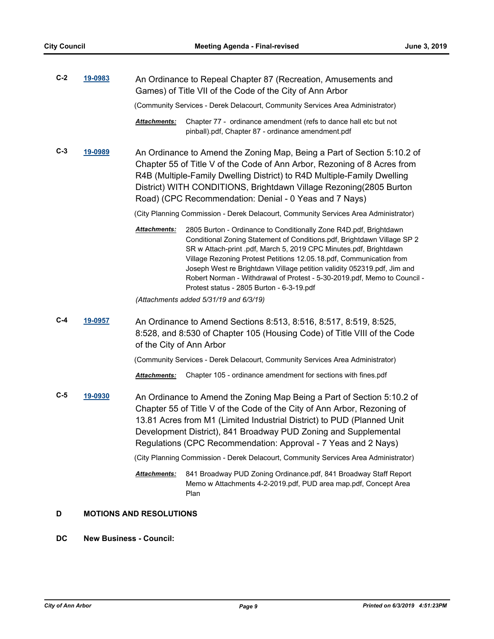| $C-2$ | 19-0983 | An Ordinance to Repeal Chapter 87 (Recreation, Amusements and<br>Games) of Title VII of the Code of the City of Ann Arbor                                                                                                                                                                                                                                                                                                                                                                                    |
|-------|---------|--------------------------------------------------------------------------------------------------------------------------------------------------------------------------------------------------------------------------------------------------------------------------------------------------------------------------------------------------------------------------------------------------------------------------------------------------------------------------------------------------------------|
|       |         | (Community Services - Derek Delacourt, Community Services Area Administrator)                                                                                                                                                                                                                                                                                                                                                                                                                                |
|       |         | Attachments:<br>Chapter 77 - ordinance amendment (refs to dance hall etc but not<br>pinball).pdf, Chapter 87 - ordinance amendment.pdf                                                                                                                                                                                                                                                                                                                                                                       |
| $C-3$ | 19-0989 | An Ordinance to Amend the Zoning Map, Being a Part of Section 5:10.2 of<br>Chapter 55 of Title V of the Code of Ann Arbor, Rezoning of 8 Acres from<br>R4B (Multiple-Family Dwelling District) to R4D Multiple-Family Dwelling<br>District) WITH CONDITIONS, Brightdawn Village Rezoning(2805 Burton<br>Road) (CPC Recommendation: Denial - 0 Yeas and 7 Nays)                                                                                                                                               |
|       |         | (City Planning Commission - Derek Delacourt, Community Services Area Administrator)                                                                                                                                                                                                                                                                                                                                                                                                                          |
|       |         | Attachments:<br>2805 Burton - Ordinance to Conditionally Zone R4D.pdf, Brightdawn<br>Conditional Zoning Statement of Conditions.pdf, Brightdawn Village SP 2<br>SR w Attach-print .pdf, March 5, 2019 CPC Minutes.pdf, Brightdawn<br>Village Rezoning Protest Petitions 12.05.18.pdf, Communication from<br>Joseph West re Brightdawn Village petition validity 052319.pdf, Jim and<br>Robert Norman - Withdrawal of Protest - 5-30-2019.pdf, Memo to Council -<br>Protest status - 2805 Burton - 6-3-19.pdf |
|       |         | (Attachments added 5/31/19 and 6/3/19)                                                                                                                                                                                                                                                                                                                                                                                                                                                                       |
| $C-4$ | 19-0957 | An Ordinance to Amend Sections 8:513, 8:516, 8:517, 8:519, 8:525,<br>8:528, and 8:530 of Chapter 105 (Housing Code) of Title VIII of the Code<br>of the City of Ann Arbor                                                                                                                                                                                                                                                                                                                                    |
|       |         | (Community Services - Derek Delacourt, Community Services Area Administrator)                                                                                                                                                                                                                                                                                                                                                                                                                                |
|       |         | Chapter 105 - ordinance amendment for sections with fines.pdf<br><b>Attachments:</b>                                                                                                                                                                                                                                                                                                                                                                                                                         |
| $C-5$ | 19-0930 | An Ordinance to Amend the Zoning Map Being a Part of Section 5:10.2 of<br>Chapter 55 of Title V of the Code of the City of Ann Arbor, Rezoning of<br>13.81 Acres from M1 (Limited Industrial District) to PUD (Planned Unit<br>Development District), 841 Broadway PUD Zoning and Supplemental<br>Regulations (CPC Recommendation: Approval - 7 Yeas and 2 Nays)                                                                                                                                             |
|       |         | (City Planning Commission - Derek Delacourt, Community Services Area Administrator)                                                                                                                                                                                                                                                                                                                                                                                                                          |
|       |         | 841 Broadway PUD Zoning Ordinance.pdf, 841 Broadway Staff Report<br>Attachments:<br>Memo w Attachments 4-2-2019.pdf, PUD area map.pdf, Concept Area<br>Plan                                                                                                                                                                                                                                                                                                                                                  |
| D     |         | <b>MOTIONS AND RESOLUTIONS</b>                                                                                                                                                                                                                                                                                                                                                                                                                                                                               |

### **DC New Business - Council:**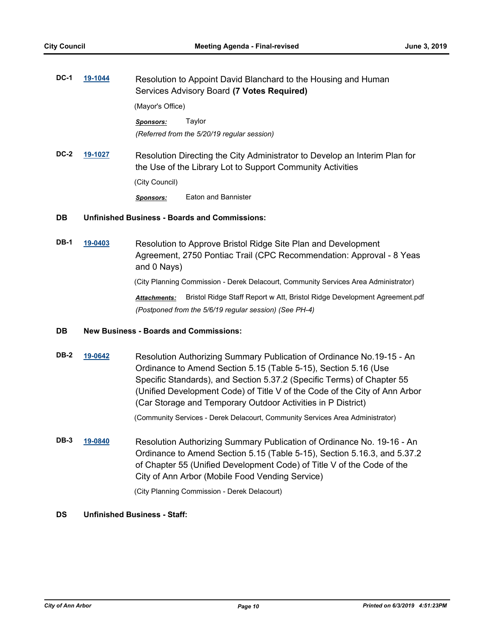| <b>DC-1</b> | 19-1044 |                  | Resolution to Appoint David Blanchard to the Housing and Human<br>Services Advisory Board (7 Votes Required)                             |
|-------------|---------|------------------|------------------------------------------------------------------------------------------------------------------------------------------|
|             |         | (Mayor's Office) |                                                                                                                                          |
|             |         | <b>Sponsors:</b> | Taylor<br>(Referred from the 5/20/19 regular session)                                                                                    |
| <b>DC-2</b> | 19-1027 | (City Council)   | Resolution Directing the City Administrator to Develop an Interim Plan for<br>the Use of the Library Lot to Support Community Activities |
|             |         | Sponsors:        | Eaton and Bannister                                                                                                                      |

### **DB Unfinished Business - Boards and Commissions:**

**DB-1 [19-0403](http://a2gov.legistar.com/gateway.aspx?M=L&ID=22096)** Resolution to Approve Bristol Ridge Site Plan and Development Agreement, 2750 Pontiac Trail (CPC Recommendation: Approval - 8 Yeas and 0 Nays)

(City Planning Commission - Derek Delacourt, Community Services Area Administrator)

*Attachments:* Bristol Ridge Staff Report w Att, Bristol Ridge Development Agreement.pdf *(Postponed from the 5/6/19 regular session) (See PH-4)*

### **DB New Business - Boards and Commissions:**

**DB-2 [19-0642](http://a2gov.legistar.com/gateway.aspx?M=L&ID=22333)** Resolution Authorizing Summary Publication of Ordinance No.19-15 - An Ordinance to Amend Section 5.15 (Table 5-15), Section 5.16 (Use Specific Standards), and Section 5.37.2 (Specific Terms) of Chapter 55 (Unified Development Code) of Title V of the Code of the City of Ann Arbor (Car Storage and Temporary Outdoor Activities in P District)

(Community Services - Derek Delacourt, Community Services Area Administrator)

**DB-3 [19-0840](http://a2gov.legistar.com/gateway.aspx?M=L&ID=22508)** Resolution Authorizing Summary Publication of Ordinance No. 19-16 - An Ordinance to Amend Section 5.15 (Table 5-15), Section 5.16.3, and 5.37.2 of Chapter 55 (Unified Development Code) of Title V of the Code of the City of Ann Arbor (Mobile Food Vending Service)

(City Planning Commission - Derek Delacourt)

### **DS Unfinished Business - Staff:**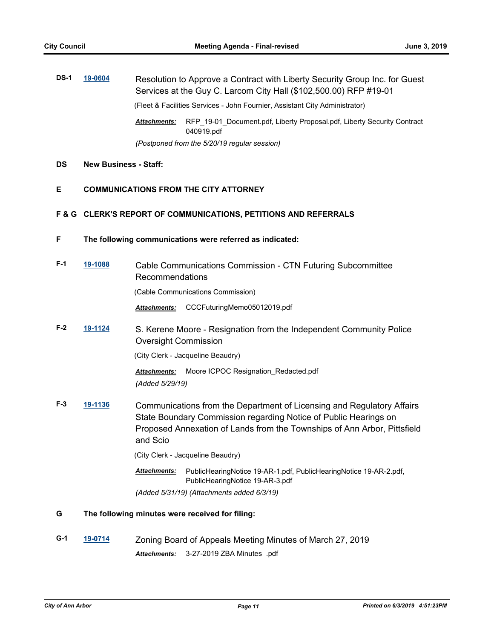| <b>DS-1</b> | 19-0604 |                     | Resolution to Approve a Contract with Liberty Security Group Inc. for Guest<br>Services at the Guy C. Larcom City Hall (\$102,500.00) RFP #19-01 |
|-------------|---------|---------------------|--------------------------------------------------------------------------------------------------------------------------------------------------|
|             |         |                     | (Fleet & Facilities Services - John Fournier, Assistant City Administrator)                                                                      |
|             |         | <b>Attachments:</b> | RFP 19-01 Document.pdf, Liberty Proposal.pdf, Liberty Security Contract<br>040919.pdf                                                            |
|             |         |                     | (Postponed from the 5/20/19 regular session)                                                                                                     |

### **DS New Business - Staff:**

### **E COMMUNICATIONS FROM THE CITY ATTORNEY**

### **F & G CLERK'S REPORT OF COMMUNICATIONS, PETITIONS AND REFERRALS**

**F The following communications were referred as indicated:**

| $F-1$ | 19-1088 | Cable Communications Commission - CTN Futuring Subcommittee<br><b>Recommendations</b> |
|-------|---------|---------------------------------------------------------------------------------------|
|       |         | (Cable Communications Commission)                                                     |

*Attachments:* CCCFuturingMemo05012019.pdf

**F-2 [19-1124](http://a2gov.legistar.com/gateway.aspx?M=L&ID=22772)** S. Kerene Moore - Resignation from the Independent Community Police Oversight Commission

(City Clerk - Jacqueline Beaudry)

*Attachments:* Moore ICPOC Resignation\_Redacted.pdf *(Added 5/29/19)*

**F-3 [19-1136](http://a2gov.legistar.com/gateway.aspx?M=L&ID=22784)** Communications from the Department of Licensing and Regulatory Affairs State Boundary Commission regarding Notice of Public Hearings on Proposed Annexation of Lands from the Townships of Ann Arbor, Pittsfield and Scio

(City Clerk - Jacqueline Beaudry)

PublicHearingNotice 19-AR-1.pdf, PublicHearingNotice 19-AR-2.pdf, PublicHearingNotice 19-AR-3.pdf *Attachments:*

*(Added 5/31/19) (Attachments added 6/3/19)*

### **G The following minutes were received for filing:**

**G-1 [19-0714](http://a2gov.legistar.com/gateway.aspx?M=L&ID=22405)** Zoning Board of Appeals Meeting Minutes of March 27, 2019 *Attachments:* 3-27-2019 ZBA Minutes .pdf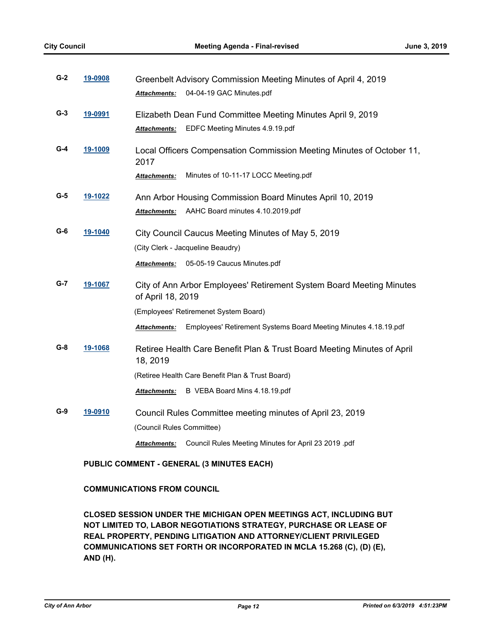| $G-2$ | 19-0908 | Greenbelt Advisory Commission Meeting Minutes of April 4, 2019                                                       |
|-------|---------|----------------------------------------------------------------------------------------------------------------------|
|       |         | 04-04-19 GAC Minutes.pdf<br><b>Attachments:</b>                                                                      |
| $G-3$ | 19-0991 | Elizabeth Dean Fund Committee Meeting Minutes April 9, 2019                                                          |
|       |         | EDFC Meeting Minutes 4.9.19.pdf<br><b>Attachments:</b>                                                               |
| $G-4$ | 19-1009 | Local Officers Compensation Commission Meeting Minutes of October 11,<br>2017                                        |
|       |         | Minutes of 10-11-17 LOCC Meeting.pdf<br>Attachments:                                                                 |
| $G-5$ | 19-1022 | Ann Arbor Housing Commission Board Minutes April 10, 2019<br>AAHC Board minutes 4.10.2019.pdf<br><b>Attachments:</b> |
| $G-6$ | 19-1040 | City Council Caucus Meeting Minutes of May 5, 2019                                                                   |
|       |         | (City Clerk - Jacqueline Beaudry)                                                                                    |
|       |         | 05-05-19 Caucus Minutes.pdf<br><b>Attachments:</b>                                                                   |
| G-7   | 19-1067 | City of Ann Arbor Employees' Retirement System Board Meeting Minutes<br>of April 18, 2019                            |
|       |         | (Employees' Retiremenet System Board)                                                                                |
|       |         | Employees' Retirement Systems Board Meeting Minutes 4.18.19.pdf<br>Attachments:                                      |
| $G-8$ | 19-1068 | Retiree Health Care Benefit Plan & Trust Board Meeting Minutes of April<br>18, 2019                                  |
|       |         | (Retiree Health Care Benefit Plan & Trust Board)                                                                     |
|       |         | B VEBA Board Mins 4.18.19.pdf<br>Attachments:                                                                        |
| $G-9$ | 19-0910 | Council Rules Committee meeting minutes of April 23, 2019                                                            |
|       |         | (Council Rules Committee)                                                                                            |
|       |         | Council Rules Meeting Minutes for April 23 2019 .pdf<br><b>Attachments:</b>                                          |

### **PUBLIC COMMENT - GENERAL (3 MINUTES EACH)**

### **COMMUNICATIONS FROM COUNCIL**

**CLOSED SESSION UNDER THE MICHIGAN OPEN MEETINGS ACT, INCLUDING BUT NOT LIMITED TO, LABOR NEGOTIATIONS STRATEGY, PURCHASE OR LEASE OF REAL PROPERTY, PENDING LITIGATION AND ATTORNEY/CLIENT PRIVILEGED COMMUNICATIONS SET FORTH OR INCORPORATED IN MCLA 15.268 (C), (D) (E), AND (H).**